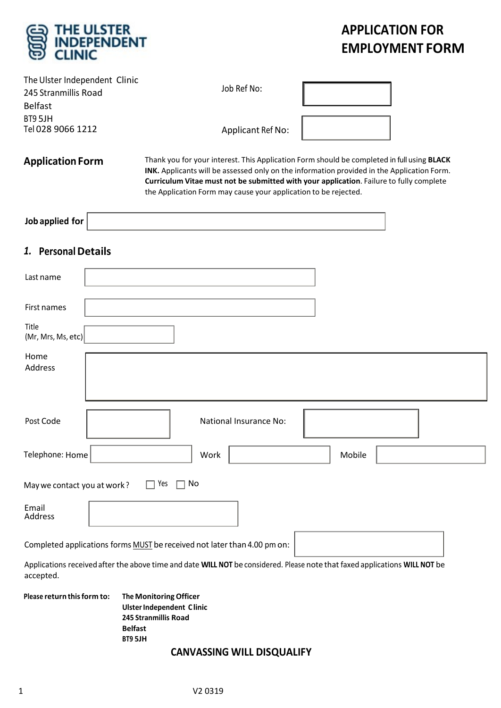

# **APPLICATION FOR EMPLOYMENT FORM**

| The Ulster Independent Clinic<br>245 Stranmillis Road<br><b>Belfast</b><br>BT9 5JH | Job Ref No:                                                                                                                                                                                                                                                                                                                                            |        |
|------------------------------------------------------------------------------------|--------------------------------------------------------------------------------------------------------------------------------------------------------------------------------------------------------------------------------------------------------------------------------------------------------------------------------------------------------|--------|
| Tel 028 9066 1212                                                                  | Applicant Ref No:                                                                                                                                                                                                                                                                                                                                      |        |
| <b>Application Form</b>                                                            | Thank you for your interest. This Application Form should be completed in full using BLACK<br>INK. Applicants will be assessed only on the information provided in the Application Form.<br>Curriculum Vitae must not be submitted with your application. Failure to fully complete<br>the Application Form may cause your application to be rejected. |        |
| Job applied for                                                                    |                                                                                                                                                                                                                                                                                                                                                        |        |
| 1. Personal Details                                                                |                                                                                                                                                                                                                                                                                                                                                        |        |
| Last name                                                                          |                                                                                                                                                                                                                                                                                                                                                        |        |
| First names                                                                        |                                                                                                                                                                                                                                                                                                                                                        |        |
| Title<br>(Mr, Mrs, Ms, etc)                                                        |                                                                                                                                                                                                                                                                                                                                                        |        |
| Home<br>Address                                                                    |                                                                                                                                                                                                                                                                                                                                                        |        |
| Post Code                                                                          | <b>National Insurance No:</b>                                                                                                                                                                                                                                                                                                                          |        |
| Telephone: Home                                                                    | Work                                                                                                                                                                                                                                                                                                                                                   | Mobile |
| May we contact you at work?                                                        | Yes<br>No                                                                                                                                                                                                                                                                                                                                              |        |
| Email<br>Address                                                                   |                                                                                                                                                                                                                                                                                                                                                        |        |
|                                                                                    | Completed applications forms MUST be received not later than 4.00 pm on:                                                                                                                                                                                                                                                                               |        |
| accepted.                                                                          | Applications received after the above time and date WILL NOT be considered. Please note that faxed applications WILL NOT be                                                                                                                                                                                                                            |        |

**Please return thisform to: The MonitoringOfficer UlsterIndependent Clinic 245 Stranmillis Road Belfast BT9 5JH**

# **CANVASSING WILL DISQUALIFY**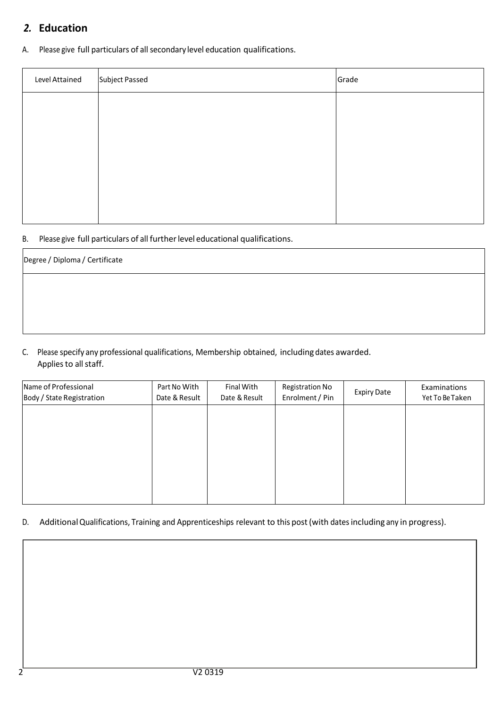# *2.* **Education**

A. Please give full particulars of all secondary level education qualifications.

| Level Attained | Subject Passed | Grade |
|----------------|----------------|-------|
|                |                |       |
|                |                |       |
|                |                |       |
|                |                |       |
|                |                |       |
|                |                |       |

#### B. Please give full particulars of all further level educational qualifications.

| Degree / Diploma / Certificate |  |
|--------------------------------|--|
|                                |  |
|                                |  |
|                                |  |

C. Please specify any professional qualifications, Membership obtained, including dates awarded. Applies to all staff.

| Name of Professional<br>Body / State Registration | Part No With<br>Date & Result | Final With<br>Date & Result | <b>Registration No</b><br>Enrolment / Pin | <b>Expiry Date</b> | Examinations<br>Yet To Be Taken |
|---------------------------------------------------|-------------------------------|-----------------------------|-------------------------------------------|--------------------|---------------------------------|
|                                                   |                               |                             |                                           |                    |                                 |
|                                                   |                               |                             |                                           |                    |                                 |
|                                                   |                               |                             |                                           |                    |                                 |
|                                                   |                               |                             |                                           |                    |                                 |
|                                                   |                               |                             |                                           |                    |                                 |

#### D. Additional Qualifications, Training and Apprenticeships relevant to this post (with dates including any in progress).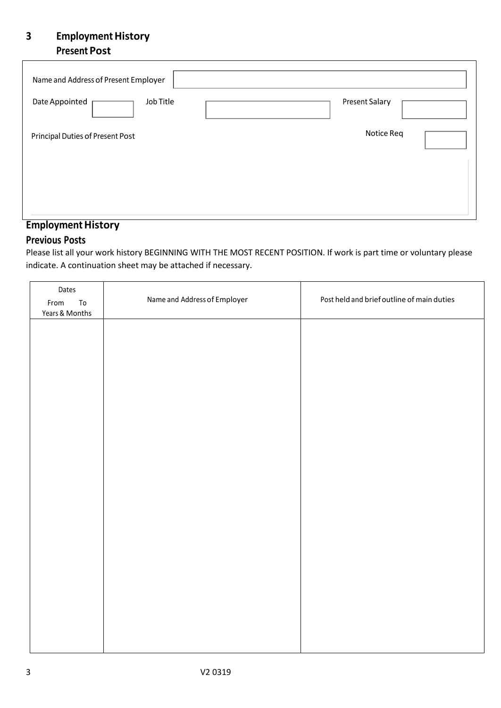# **3 Employment History Present Post**

| Name and Address of Present Employer |                       |
|--------------------------------------|-----------------------|
| Job Title<br>Date Appointed          | <b>Present Salary</b> |
| Principal Duties of Present Post     | Notice Req            |
|                                      |                       |
|                                      |                       |

## **Employment History**

### **Previous Posts**

Please list all your work history BEGINNING WITH THE MOST RECENT POSITION. If work is part time or voluntary please indicate. A continuation sheet may be attached if necessary.

| Dates              |                              |                                            |
|--------------------|------------------------------|--------------------------------------------|
| ${\tt To}$<br>From | Name and Address of Employer | Post held and brief outline of main duties |
| Years & Months     |                              |                                            |
|                    |                              |                                            |
|                    |                              |                                            |
|                    |                              |                                            |
|                    |                              |                                            |
|                    |                              |                                            |
|                    |                              |                                            |
|                    |                              |                                            |
|                    |                              |                                            |
|                    |                              |                                            |
|                    |                              |                                            |
|                    |                              |                                            |
|                    |                              |                                            |
|                    |                              |                                            |
|                    |                              |                                            |
|                    |                              |                                            |
|                    |                              |                                            |
|                    |                              |                                            |
|                    |                              |                                            |
|                    |                              |                                            |
|                    |                              |                                            |
|                    |                              |                                            |
|                    |                              |                                            |
|                    |                              |                                            |
|                    |                              |                                            |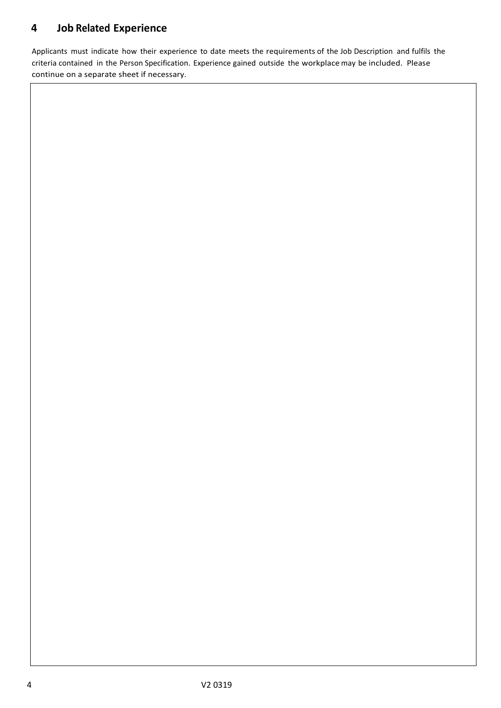# **4 Job Related Experience**

Applicants must indicate how their experience to date meets the requirements of the Job Description and fulfils the criteria contained in the Person Specification. Experience gained outside the workplace may be included. Please continue on a separate sheet if necessary.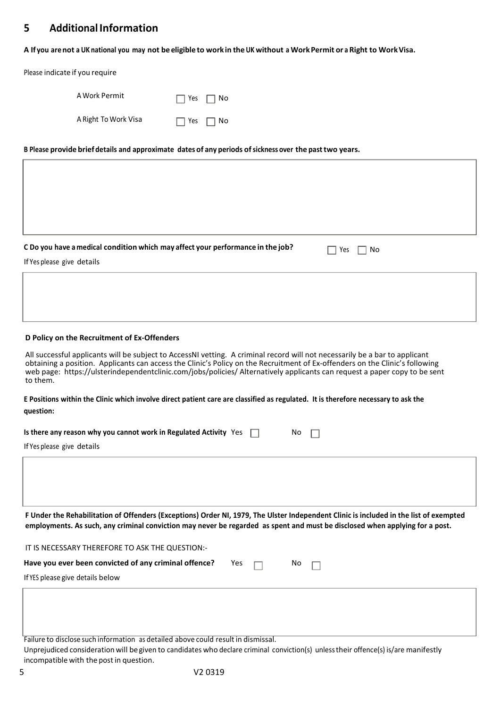### **5 Additional Information**

A If you are not a UK national you may not be eligible to work in the UK without a Work Permit or a Right to Work Visa.

Please indicate if you require

| A Work Permit        | $\Box$ Yes $\Box$ No |  |
|----------------------|----------------------|--|
| A Right To Work Visa | $\Box$ Yes $\Box$ No |  |

**B Please provide brief details and approximate dates of any periods ofsickness over the pasttwo years.**

| C Do you have a medical condition which may affect your performance in the job?<br>Yes<br>No                                                                                                                                                                                                                                                                                                         |
|------------------------------------------------------------------------------------------------------------------------------------------------------------------------------------------------------------------------------------------------------------------------------------------------------------------------------------------------------------------------------------------------------|
| If Yes please give details                                                                                                                                                                                                                                                                                                                                                                           |
|                                                                                                                                                                                                                                                                                                                                                                                                      |
|                                                                                                                                                                                                                                                                                                                                                                                                      |
| D Policy on the Recruitment of Ex-Offenders                                                                                                                                                                                                                                                                                                                                                          |
| All successful applicants will be subject to AccessNI vetting. A criminal record will not necessarily be a bar to applicant<br>obtaining a position. Applicants can access the Clinic's Policy on the Recruitment of Ex-offenders on the Clinic's following<br>web page: https://ulsterindependentclinic.com/jobs/policies/ Alternatively applicants can request a paper copy to be sent<br>to them. |
| E Positions within the Clinic which involve direct patient care are classified as regulated. It is therefore necessary to ask the                                                                                                                                                                                                                                                                    |
| question:                                                                                                                                                                                                                                                                                                                                                                                            |
| Is there any reason why you cannot work in Regulated Activity Yes<br>No.                                                                                                                                                                                                                                                                                                                             |
| If Yes please give details                                                                                                                                                                                                                                                                                                                                                                           |
|                                                                                                                                                                                                                                                                                                                                                                                                      |
|                                                                                                                                                                                                                                                                                                                                                                                                      |
|                                                                                                                                                                                                                                                                                                                                                                                                      |
| F Under the Rehabilitation of Offenders (Exceptions) Order NI, 1979, The Ulster Independent Clinic is included in the list of exempted<br>employments. As such, any criminal conviction may never be regarded as spent and must be disclosed when applying for a post.                                                                                                                               |
| IT IS NECESSARY THEREFORE TO ASK THE QUESTION:-                                                                                                                                                                                                                                                                                                                                                      |
| Have you ever been convicted of any criminal offence?<br>Yes<br>No                                                                                                                                                                                                                                                                                                                                   |
| If YES please give details below                                                                                                                                                                                                                                                                                                                                                                     |
|                                                                                                                                                                                                                                                                                                                                                                                                      |
|                                                                                                                                                                                                                                                                                                                                                                                                      |

Failure to disclose such information as detailed above could result in dismissal.

Unprejudiced consideration will begiven to candidates who declare criminal conviction(s) unlesstheir offence(s) is/are manifestly incompatible with the post in question.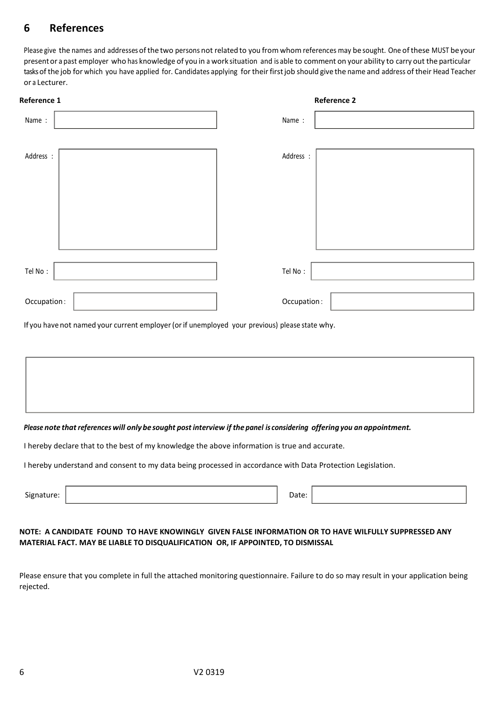# **6 References**

Please give the names and addresses of the two persons not related to you from whom references may be sought. One of these MUST be your presentor a past employer who has knowledge of you in a work situation and is able to comment on your ability to carry out the particular tasks of the job for which you have applied for. Candidates applying for their first job should give the name and address of their Head Teacher or a Lecturer.

| Reference 1 |             | <b>Reference 2</b> |
|-------------|-------------|--------------------|
| Name:       | Name:       |                    |
|             |             |                    |
| Address :   | Address :   |                    |
|             |             |                    |
|             |             |                    |
|             |             |                    |
|             |             |                    |
|             |             |                    |
| Tel No:     | Tel No:     |                    |
|             |             |                    |
| Occupation: | Occupation: |                    |

If you have not named your current employer (or if unemployed your previous) please state why.

#### Please note that references will only be sought post interview if the panel is considering offering you an appointment.

I hereby declare that to the best of my knowledge the above information is true and accurate.

I hereby understand and consent to my data being processed in accordance with Data Protection Legislation.

| $\sim$<br>$-1$<br>sion<br>ture. | ,<br>. .<br>74 I<br><u>bucc</u> |  |
|---------------------------------|---------------------------------|--|
|                                 |                                 |  |

#### **NOTE: A CANDIDATE FOUND TO HAVE KNOWINGLY GIVEN FALSE INFORMATION OR TO HAVE WILFULLY SUPPRESSED ANY MATERIAL FACT. MAY BE LIABLE TO DISQUALIFICATION OR, IF APPOINTED, TO DISMISSAL**

Please ensure that you complete in full the attached monitoring questionnaire. Failure to do so may result in your application being rejected.